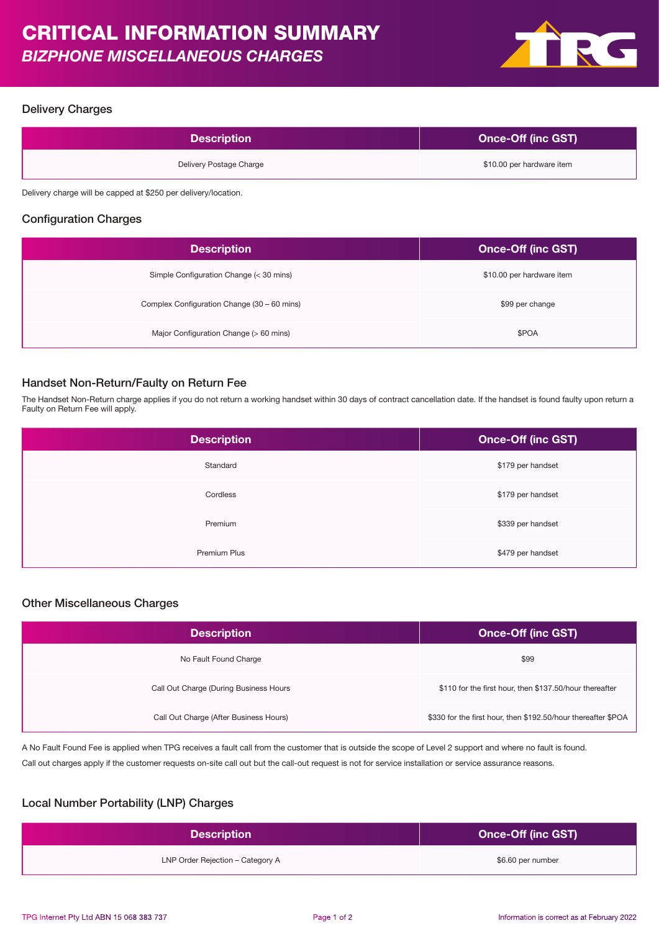

#### Delivery Charges

| <b>Description</b>      | <b>Once-Off (inc GST)</b> |
|-------------------------|---------------------------|
| Delivery Postage Charge | \$10.00 per hardware item |
|                         |                           |

Delivery charge will be capped at \$250 per delivery/location.

# Configuration Charges

| <b>Description</b>                          | Once-Off (inc GST)        |
|---------------------------------------------|---------------------------|
| Simple Configuration Change (< 30 mins)     | \$10.00 per hardware item |
| Complex Configuration Change (30 – 60 mins) | \$99 per change           |
| Major Configuration Change (> 60 mins)      | \$POA                     |

### Handset Non-Return/Faulty on Return Fee

The Handset Non-Return charge applies if you do not return a working handset within 30 days of contract cancellation date. If the handset is found faulty upon return a Faulty on Return Fee will apply.

| <b>Description</b> | <b>Once-Off (inc GST)</b> |
|--------------------|---------------------------|
| Standard           | \$179 per handset         |
| Cordless           | \$179 per handset         |
| Premium            | \$339 per handset         |
| Premium Plus       | \$479 per handset         |

#### Other Miscellaneous Charges

| <b>Description</b>                     | <b>Once-Off (inc GST)</b>                                     |
|----------------------------------------|---------------------------------------------------------------|
| No Fault Found Charge                  | \$99                                                          |
| Call Out Charge (During Business Hours | \$110 for the first hour, then \$137.50/hour thereafter       |
| Call Out Charge (After Business Hours) | \$330 for the first hour, then \$192.50/hour thereafter \$POA |

A No Fault Found Fee is applied when TPG receives a fault call from the customer that is outside the scope of Level 2 support and where no fault is found. Call out charges apply if the customer requests on-site call out but the call-out request is not for service installation or service assurance reasons.

## Local Number Portability (LNP) Charges

| <b>Description</b>               | <b>Once-Off (inc GST)</b> |
|----------------------------------|---------------------------|
| LNP Order Rejection - Category A | \$6.60 per number         |